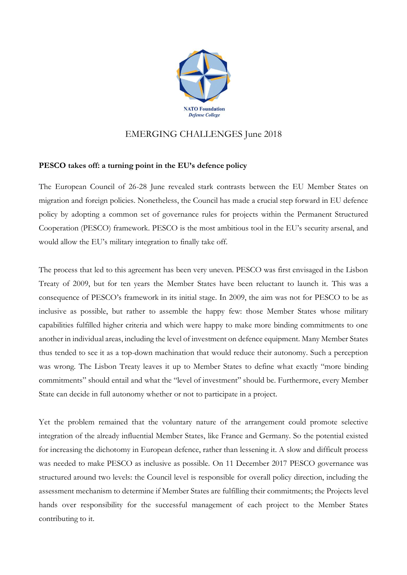

## EMERGING CHALLENGES June 2018

## **PESCO takes off: a turning point in the EU's defence policy**

The European Council of 26-28 June revealed stark contrasts between the EU Member States on migration and foreign policies. Nonetheless, the Council has made a crucial step forward in EU defence policy by adopting a common set of governance rules for projects within the Permanent Structured Cooperation (PESCO) framework. PESCO is the most ambitious tool in the EU's security arsenal, and would allow the EU's military integration to finally take off.

The process that led to this agreement has been very uneven. PESCO was first envisaged in the Lisbon Treaty of 2009, but for ten years the Member States have been reluctant to launch it. This was a consequence of PESCO's framework in its initial stage. In 2009, the aim was not for PESCO to be as inclusive as possible, but rather to assemble the happy few: those Member States whose military capabilities fulfilled higher criteria and which were happy to make more binding commitments to one another in individual areas, including the level of investment on defence equipment. Many Member States thus tended to see it as a top-down machination that would reduce their autonomy. Such a perception was wrong. The Lisbon Treaty leaves it up to Member States to define what exactly "more binding commitments" should entail and what the "level of investment" should be. Furthermore, every Member State can decide in full autonomy whether or not to participate in a project.

Yet the problem remained that the voluntary nature of the arrangement could promote selective integration of the already influential Member States, like France and Germany. So the potential existed for increasing the dichotomy in European defence, rather than lessening it. A slow and difficult process was needed to make PESCO as inclusive as possible. On 11 December 2017 PESCO governance was structured around two levels: the Council level is responsible for overall policy direction, including the assessment mechanism to determine if Member States are fulfilling their commitments; the Projects level hands over responsibility for the successful management of each project to the Member States contributing to it.